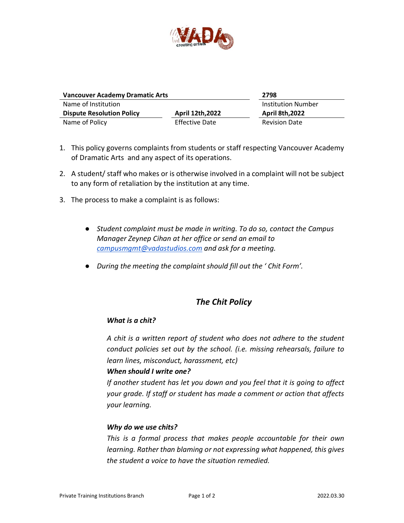

| <b>Vancouver Academy Dramatic Arts</b> |                         | 2798                      |
|----------------------------------------|-------------------------|---------------------------|
| Name of Institution                    |                         | <b>Institution Number</b> |
| <b>Dispute Resolution Policy</b>       | <b>April 12th, 2022</b> | <b>April 8th, 2022</b>    |
| Name of Policy                         | <b>Effective Date</b>   | <b>Revision Date</b>      |

- 1. This policy governs complaints from students or staff respecting Vancouver Academy of Dramatic Arts and any aspect of its operations.
- 2. A student/ staff who makes or is otherwise involved in a complaint will not be subject to any form of retaliation by the institution at any time.
- 3. The process to make a complaint is as follows:
	- *Student complaint must be made in writing. To do so, contact the Campus Manager Zeynep Cihan at her office or send an email to [campusmgmt@vadastudios.com](mailto:campusmgmt@vadastudios.com) and ask for a meeting.*
	- *During the meeting the complaint should fill out the ' Chit Form'.*

# *The Chit Policy*

#### *What is a chit?*

*A chit is a written report of student who does not adhere to the student conduct policies set out by the school. (i.e. missing rehearsals, failure to learn lines, misconduct, harassment, etc)*

#### *When should I write one?*

*If another student has let you down and you feel that it is going to affect your grade. If staff or student has made a comment or action that affects your learning.*

#### *Why do we use chits?*

*This is a formal process that makes people accountable for their own learning. Rather than blaming or not expressing what happened, this gives the student a voice to have the situation remedied.*